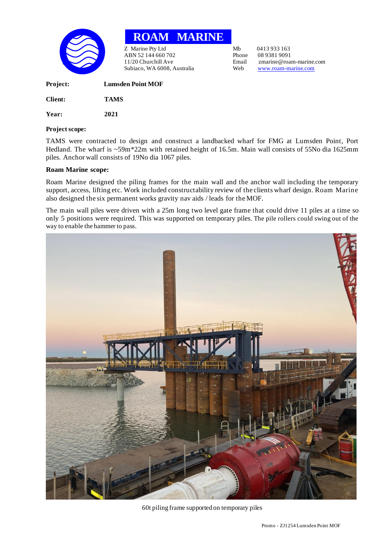

**ROAM MARINE**

Z Marine Pty Ltd<br>
ABN 52.144 660 702<br>
Phone 08.9381 9091 ABN 52 144 660 702 Phone<br>11/20 Churchill Ave Email Subiaco, WA 6008, Australia Web [www.roam-marine.com](http://www.roam-marine.com/)

Email zmarine@roam-marine.com<br>Web www.roam-marine.com

| <b>Project:</b> | <b>Lumsden Point MOF</b> |
|-----------------|--------------------------|
| Client:         | <b>TAMS</b>              |
| Year:           | 2021                     |

## **Project scope:**

TAMS were contracted to design and construct a landbacked wharf for FMG at Lumsden Point, Port Hedland. The wharf is ~59m\*22m with retained height of 16.5m. Main wall consists of 55No dia 1625mm piles. Anchor wall consists of 19No dia 1067 piles.

## **Roam Marine scope:**

Roam Marine designed the piling frames for the main wall and the anchor wall including the temporary support, access, lifting etc. Work included constructability review of the clients wharf design. Roam Marine also designed the six permanent works gravity nav aids / leads for the MOF.

The main wall piles were driven with a 25m long two level gate frame that could drive 11 piles at a time so only 5 positions were required. This was supported on temporary piles. The pile rollers could swing out of the way to enable the hammer to pass.



## 60t piling frame supported on temporary piles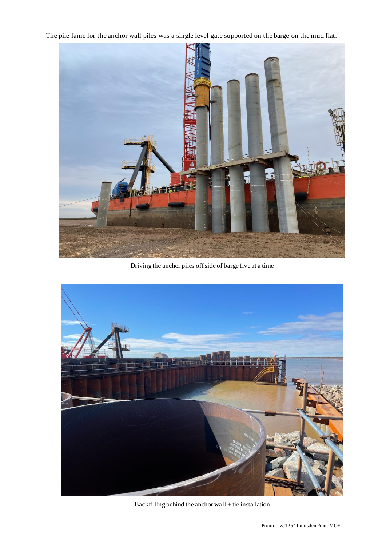The pile fame for the anchor wall piles was a single level gate supported on the barge on the mud flat.



Driving the anchor piles off side of barge five at a time



Backfilling behind the anchor wall + tie installation